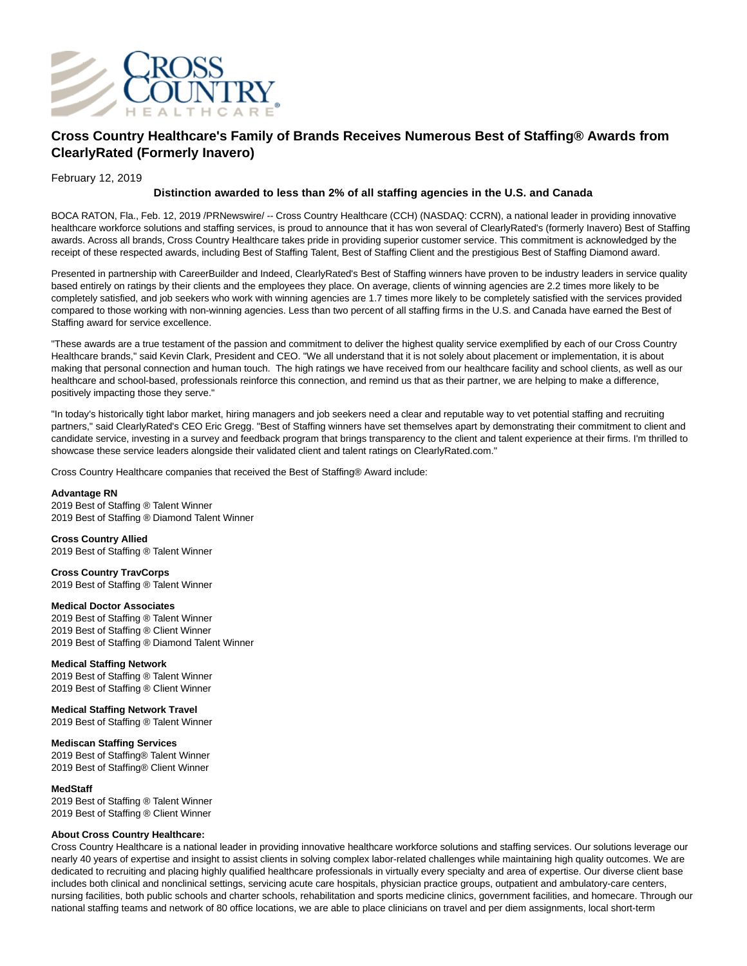

# **Cross Country Healthcare's Family of Brands Receives Numerous Best of Staffing® Awards from ClearlyRated (Formerly Inavero)**

# February 12, 2019

# **Distinction awarded to less than 2% of all staffing agencies in the U.S. and Canada**

BOCA RATON, Fla., Feb. 12, 2019 /PRNewswire/ -- Cross Country Healthcare (CCH) (NASDAQ: CCRN), a national leader in providing innovative healthcare workforce solutions and staffing services, is proud to announce that it has won several of ClearlyRated's (formerly Inavero) Best of Staffing awards. Across all brands, Cross Country Healthcare takes pride in providing superior customer service. This commitment is acknowledged by the receipt of these respected awards, including Best of Staffing Talent, Best of Staffing Client and the prestigious Best of Staffing Diamond award.

Presented in partnership with CareerBuilder and Indeed, ClearlyRated's Best of Staffing winners have proven to be industry leaders in service quality based entirely on ratings by their clients and the employees they place. On average, clients of winning agencies are 2.2 times more likely to be completely satisfied, and job seekers who work with winning agencies are 1.7 times more likely to be completely satisfied with the services provided compared to those working with non-winning agencies. Less than two percent of all staffing firms in the U.S. and Canada have earned the Best of Staffing award for service excellence.

"These awards are a true testament of the passion and commitment to deliver the highest quality service exemplified by each of our Cross Country Healthcare brands," said Kevin Clark, President and CEO. "We all understand that it is not solely about placement or implementation, it is about making that personal connection and human touch. The high ratings we have received from our healthcare facility and school clients, as well as our healthcare and school-based, professionals reinforce this connection, and remind us that as their partner, we are helping to make a difference, positively impacting those they serve."

"In today's historically tight labor market, hiring managers and job seekers need a clear and reputable way to vet potential staffing and recruiting partners," said ClearlyRated's CEO Eric Gregg. "Best of Staffing winners have set themselves apart by demonstrating their commitment to client and candidate service, investing in a survey and feedback program that brings transparency to the client and talent experience at their firms. I'm thrilled to showcase these service leaders alongside their validated client and talent ratings on ClearlyRated.com."

Cross Country Healthcare companies that received the Best of Staffing® Award include:

#### **Advantage RN**

2019 Best of Staffing ® Talent Winner 2019 Best of Staffing ® Diamond Talent Winner

**Cross Country Allied** 2019 Best of Staffing ® Talent Winner

**Cross Country TravCorps** 2019 Best of Staffing ® Talent Winner

### **Medical Doctor Associates**

2019 Best of Staffing ® Talent Winner 2019 Best of Staffing ® Client Winner 2019 Best of Staffing ® Diamond Talent Winner

# **Medical Staffing Network**

2019 Best of Staffing ® Talent Winner 2019 Best of Staffing ® Client Winner

# **Medical Staffing Network Travel**

2019 Best of Staffing ® Talent Winner

# **Mediscan Staffing Services**

2019 Best of Staffing® Talent Winner 2019 Best of Staffing® Client Winner

#### **MedStaff**

2019 Best of Staffing ® Talent Winner 2019 Best of Staffing ® Client Winner

### **About Cross Country Healthcare:**

Cross Country Healthcare is a national leader in providing innovative healthcare workforce solutions and staffing services. Our solutions leverage our nearly 40 years of expertise and insight to assist clients in solving complex labor-related challenges while maintaining high quality outcomes. We are dedicated to recruiting and placing highly qualified healthcare professionals in virtually every specialty and area of expertise. Our diverse client base includes both clinical and nonclinical settings, servicing acute care hospitals, physician practice groups, outpatient and ambulatory-care centers, nursing facilities, both public schools and charter schools, rehabilitation and sports medicine clinics, government facilities, and homecare. Through our national staffing teams and network of 80 office locations, we are able to place clinicians on travel and per diem assignments, local short-term